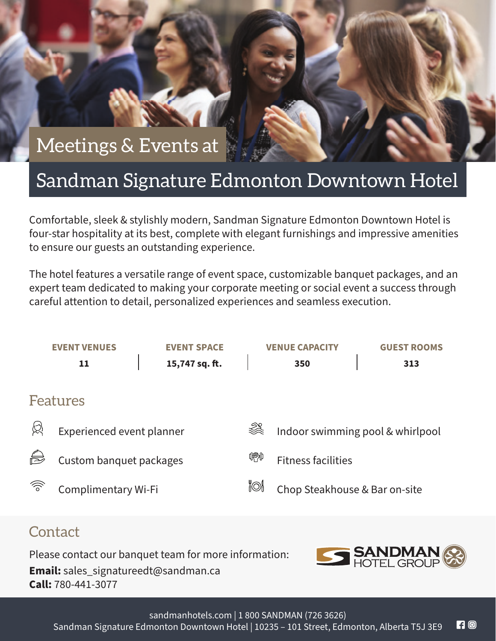## Meetings & Events at

## Sandman Signature Edmonton Downtown Hotel

Comfortable, sleek & stylishly modern, Sandman Signature Edmonton Downtown Hotel is four-star hospitality at its best, complete with elegant furnishings and impressive amenities to ensure our guests an outstanding experience.

The hotel features a versatile range of event space, customizable banquet packages, and an expert team dedicated to making your corporate meeting or social event a success through careful attention to detail, personalized experiences and seamless execution.

|   | 11                        |  | <b>EVENT SPACE</b><br>15,747 sq. ft. |  | <b>VENUE CAPACITY</b><br>350     |  | <b>GUEST ROOMS</b><br>313 |  |  |
|---|---------------------------|--|--------------------------------------|--|----------------------------------|--|---------------------------|--|--|
|   | Features                  |  |                                      |  |                                  |  |                           |  |  |
| 笖 | Experienced event planner |  |                                      |  | Indoor swimming pool & whirlpool |  |                           |  |  |
| S | Custom banquet packages   |  |                                      |  | <b>Fitness facilities</b>        |  |                           |  |  |
| ゔ | Complimentary Wi-Fi       |  |                                      |  | Chop Steakhouse & Bar on-site    |  |                           |  |  |

## **Contact**

Please contact our banquet team for more information: **Email:** sales\_signatureedt@sandman.ca **Call:** 780-441-3077